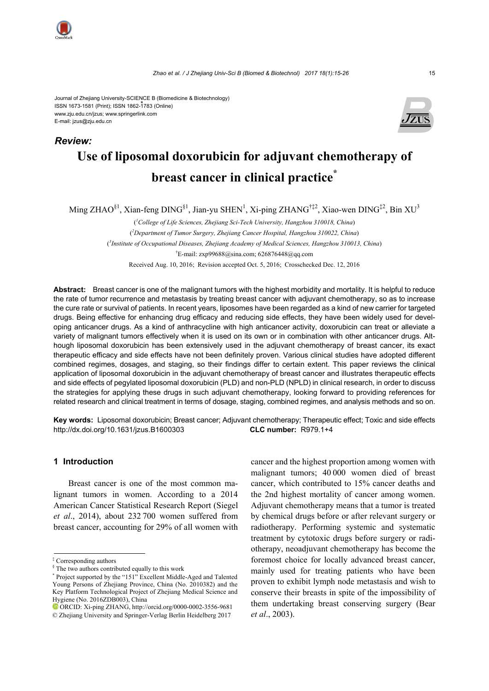*Review:*

#### Journal of Zhejiang University-SCIENCE B (Biomedicine & Biotechnology) ISSN 1673-1581 (Print); ISSN 1862-1783 (Online) www.zju.edu.cn/jzus; www.springerlink.com E-mail: jzus@zju.edu.cn



# **Use of liposomal doxorubicin for adjuvant chemotherapy of breast cancer in clinical practice\***

Ming ZHAO ${}^{81}$ , Xian-feng DING ${}^{81}$ , Jian-yu SHEN<sup>1</sup>, Xi-ping ZHANG<sup>†‡2</sup>, Xiao-wen DING<sup>‡2</sup>, Bin XU<sup>3</sup>

( *1 College of Life Sciences, Zhejiang Sci-Tech University, Hangzhou 310018, China*) ( *2 Department of Tumor Surgery, Zhejiang Cancer Hospital, Hangzhou 310022, China*) ( *3 Institute of Occupational Diseases, Zhejiang Academy of Medical Sciences, Hangzhou 310013, China*) † E-mail: zxp99688@sina.com; 626876448@qq.com Received Aug. 10, 2016; Revision accepted Oct. 5, 2016; Crosschecked Dec. 12, 2016

**Abstract:** Breast cancer is one of the malignant tumors with the highest morbidity and mortality. It is helpful to reduce the rate of tumor recurrence and metastasis by treating breast cancer with adjuvant chemotherapy, so as to increase the cure rate or survival of patients. In recent years, liposomes have been regarded as a kind of new carrier for targeted drugs. Being effective for enhancing drug efficacy and reducing side effects, they have been widely used for developing anticancer drugs. As a kind of anthracycline with high anticancer activity, doxorubicin can treat or alleviate a variety of malignant tumors effectively when it is used on its own or in combination with other anticancer drugs. Although liposomal doxorubicin has been extensively used in the adjuvant chemotherapy of breast cancer, its exact therapeutic efficacy and side effects have not been definitely proven. Various clinical studies have adopted different combined regimes, dosages, and staging, so their findings differ to certain extent. This paper reviews the clinical application of liposomal doxorubicin in the adjuvant chemotherapy of breast cancer and illustrates therapeutic effects and side effects of pegylated liposomal doxorubicin (PLD) and non-PLD (NPLD) in clinical research, in order to discuss the strategies for applying these drugs in such adjuvant chemotherapy, looking forward to providing references for related research and clinical treatment in terms of dosage, staging, combined regimes, and analysis methods and so on.

**Key words:** Liposomal doxorubicin; Breast cancer; Adjuvant chemotherapy; Therapeutic effect; Toxic and side effects http://dx.doi.org/10.1631/jzus.B1600303 **CLC number:** R979.1+4

## **1 Introduction**

Breast cancer is one of the most common malignant tumors in women. According to a 2014 American Cancer Statistical Research Report (Siegel *et al*., 2014), about 232 700 women suffered from breast cancer, accounting for 29% of all women with cancer and the highest proportion among women with malignant tumors; 40 000 women died of breast cancer, which contributed to 15% cancer deaths and the 2nd highest mortality of cancer among women. Adjuvant chemotherapy means that a tumor is treated by chemical drugs before or after relevant surgery or radiotherapy. Performing systemic and systematic treatment by cytotoxic drugs before surgery or radiotherapy, neoadjuvant chemotherapy has become the foremost choice for locally advanced breast cancer, mainly used for treating patients who have been proven to exhibit lymph node metastasis and wish to conserve their breasts in spite of the impossibility of them undertaking breast conserving surgery (Bear *et al*., 2003).

<sup>‡</sup> Corresponding authors

<sup>§</sup> The two authors contributed equally to this work

<sup>\*</sup> Project supported by the "151" Excellent Middle-Aged and Talented Young Persons of Zhejiang Province, China (No. 2010382) and the Key Platform Technological Project of Zhejiang Medical Science and Hygiene (No. 2016ZDB003), China

ORCID: Xi-ping ZHANG, http://orcid.org/0000-0002-3556-9681 © Zhejiang University and Springer-Verlag Berlin Heidelberg 2017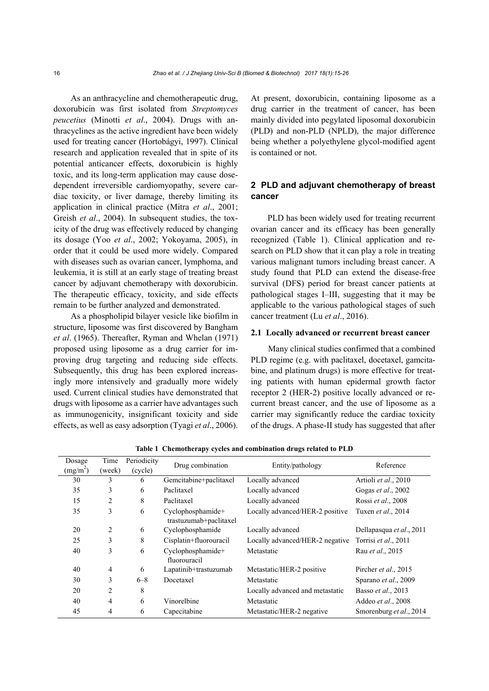As an anthracycline and chemotherapeutic drug, doxorubicin was first isolated from *Streptomyces peucetius* (Minotti *et al*., 2004). Drugs with anthracyclines as the active ingredient have been widely used for treating cancer (Hortobágyi, 1997). Clinical research and application revealed that in spite of its potential anticancer effects, doxorubicin is highly toxic, and its long-term application may cause dosedependent irreversible cardiomyopathy, severe cardiac toxicity, or liver damage, thereby limiting its application in clinical practice (Mitra *et al*., 2001; Greish *et al*., 2004). In subsequent studies, the toxicity of the drug was effectively reduced by changing its dosage (Yoo *et al*., 2002; Yokoyama, 2005), in order that it could be used more widely. Compared with diseases such as ovarian cancer, lymphoma, and leukemia, it is still at an early stage of treating breast cancer by adjuvant chemotherapy with doxorubicin. The therapeutic efficacy, toxicity, and side effects remain to be further analyzed and demonstrated.

As a phospholipid bilayer vesicle like biofilm in structure, liposome was first discovered by Bangham *et al*. (1965). Thereafter, Ryman and Whelan (1971) proposed using liposome as a drug carrier for improving drug targeting and reducing side effects. Subsequently, this drug has been explored increasingly more intensively and gradually more widely used. Current clinical studies have demonstrated that drugs with liposome as a carrier have advantages such as immunogenicity, insignificant toxicity and side effects, as well as easy adsorption (Tyagi *et al*., 2006). At present, doxorubicin, containing liposome as a drug carrier in the treatment of cancer, has been mainly divided into pegylated liposomal doxorubicin (PLD) and non-PLD (NPLD), the major difference being whether a polyethylene glycol-modified agent is contained or not.

## **2 PLD and adjuvant chemotherapy of breast cancer**

PLD has been widely used for treating recurrent ovarian cancer and its efficacy has been generally recognized (Table 1). Clinical application and research on PLD show that it can play a role in treating various malignant tumors including breast cancer. A study found that PLD can extend the disease-free survival (DFS) period for breast cancer patients at pathological stages I–III, suggesting that it may be applicable to the various pathological stages of such cancer treatment (Lu *et al*., 2016).

## **2.1 Locally advanced or recurrent breast cancer**

Many clinical studies confirmed that a combined PLD regime (e.g. with paclitaxel, docetaxel, gamcitabine, and platinum drugs) is more effective for treating patients with human epidermal growth factor receptor 2 (HER-2) positive locally advanced or recurrent breast cancer, and the use of liposome as a carrier may significantly reduce the cardiac toxicity of the drugs. A phase-II study has suggested that after

| Dosage<br>(mg/m <sup>2</sup> ) | Time<br>(week) | Periodicity<br>(cycle) | Drug combination                            | Entity/pathology                | Reference                |
|--------------------------------|----------------|------------------------|---------------------------------------------|---------------------------------|--------------------------|
| 30                             | 3              | 6                      | Gemcitabine+paclitaxel                      | Locally advanced                | Artioli et al., 2010     |
| 35                             | 3              | 6                      | Paclitaxel                                  | Locally advanced                | Gogas et al., 2002       |
| 15                             | $\overline{2}$ | 8                      | Paclitaxel                                  | Locally advanced                | Rossi et al., 2008       |
| 35                             | 3              | 6                      | Cyclophosphamide+<br>trastuzumab+paclitaxel | Locally advanced/HER-2 positive | Tuxen et al., 2014       |
| 20                             | 2              | 6                      | Cyclophosphamide                            | Locally advanced                | Dellapasqua et al., 2011 |
| 25                             | 3              | 8                      | Cisplatin+fluorouracil                      | Locally advanced/HER-2 negative | Torrisi et al., 2011     |
| 40                             | 3              | 6                      | Cyclophosphamide+<br>fluorouracil           | Metastatic                      | Rau et al., 2015         |
| 40                             | $\overline{4}$ | 6                      | Lapatinib+trastuzumab                       | Metastatic/HER-2 positive       | Pircher et al., 2015     |
| 30                             | 3              | $6 - 8$                | Docetaxel                                   | Metastatic                      | Sparano et al., 2009     |
| 20                             | 2              | 8                      |                                             | Locally advanced and metastatic | Basso et al., 2013       |
| 40                             | 4              | 6                      | Vinorelbine                                 | Metastatic                      | Addeo et al., 2008       |
| 45                             | 4              | 6                      | Capecitabine                                | Metastatic/HER-2 negative       | Smorenburg et al., 2014  |

**Table 1 Chemotherapy cycles and combination drugs related to PLD**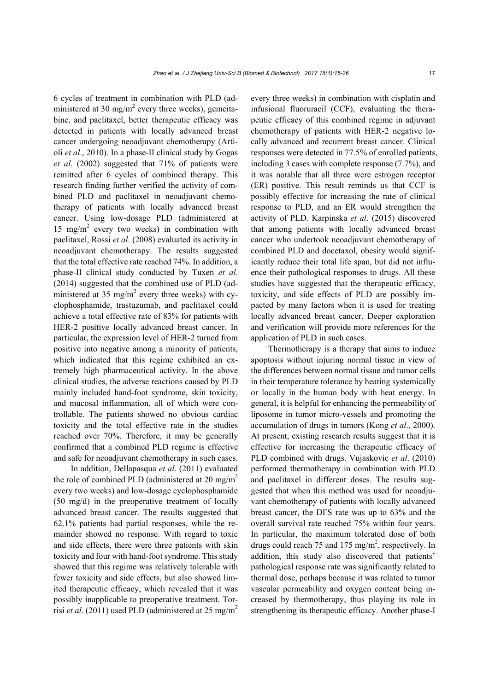6 cycles of treatment in combination with PLD (administered at 30 mg/ $m^2$  every three weeks), gemcitabine, and paclitaxel, better therapeutic efficacy was detected in patients with locally advanced breast cancer undergoing neoadjuvant chemotherapy (Artioli *et al*., 2010). In a phase-II clinical study by Gogas *et al*. (2002) suggested that 71% of patients were remitted after 6 cycles of combined therapy. This research finding further verified the activity of combined PLD and paclitaxel in neoadjuvant chemotherapy of patients with locally advanced breast cancer. Using low-dosage PLD (administered at 15 mg/m<sup>2</sup> every two weeks) in combination with paclitaxel, Rossi *et al*. (2008) evaluated its activity in neoadjuvant chemotherapy. The results suggested that the total effective rate reached 74%. In addition, a phase-II clinical study conducted by Tuxen *et al*. (2014) suggested that the combined use of PLD (administered at 35 mg/m<sup>2</sup> every three weeks) with cyclophosphamide, trastuzumab, and paclitaxel could achieve a total effective rate of 83% for patients with HER-2 positive locally advanced breast cancer. In particular, the expression level of HER-2 turned from positive into negative among a minority of patients, which indicated that this regime exhibited an extremely high pharmaceutical activity. In the above clinical studies, the adverse reactions caused by PLD mainly included hand-foot syndrome, skin toxicity, and mucosal inflammation, all of which were controllable. The patients showed no obvious cardiac toxicity and the total effective rate in the studies reached over 70%. Therefore, it may be generally confirmed that a combined PLD regime is effective and safe for neoadjuvant chemotherapy in such cases.

In addition, Dellapasqua *et al*. (2011) evaluated the role of combined PLD (administered at 20 mg/m<sup>2</sup> every two weeks) and low-dosage cyclophosphamide (50 mg/d) in the preoperative treatment of locally advanced breast cancer. The results suggested that 62.1% patients had partial responses, while the remainder showed no response. With regard to toxic and side effects, there were three patients with skin toxicity and four with hand-foot syndrome. This study showed that this regime was relatively tolerable with fewer toxicity and side effects, but also showed limited therapeutic efficacy, which revealed that it was possibly inapplicable to preoperative treatment. Torrisi *et al*. (2011) used PLD (administered at 25 mg/m2

every three weeks) in combination with cisplatin and infusional fluoruracil (CCF), evaluating the therapeutic efficacy of this combined regime in adjuvant chemotherapy of patients with HER-2 negative locally advanced and recurrent breast cancer. Clinical responses were detected in 77.5% of enrolled patients, including 3 cases with complete response (7.7%), and it was notable that all three were estrogen receptor (ER) positive. This result reminds us that CCF is possibly effective for increasing the rate of clinical response to PLD, and an ER would strengthen the activity of PLD. Karpinska *et al*. (2015) discovered that among patients with locally advanced breast cancer who undertook neoadjuvant chemotherapy of combined PLD and docetaxol, obesity would significantly reduce their total life span, but did not influence their pathological responses to drugs. All these studies have suggested that the therapeutic efficacy, toxicity, and side effects of PLD are possibly impacted by many factors when it is used for treating locally advanced breast cancer. Deeper exploration and verification will provide more references for the application of PLD in such cases.

Thermotherapy is a therapy that aims to induce apoptosis without injuring normal tissue in view of the differences between normal tissue and tumor cells in their temperature tolerance by heating systemically or locally in the human body with heat energy. In general, it is helpful for enhancing the permeability of liposome in tumor micro-vessels and promoting the accumulation of drugs in tumors (Kong *et al*., 2000). At present, existing research results suggest that it is effective for increasing the therapeutic efficacy of PLD combined with drugs. Vujaskovic *et al*. (2010) performed thermotherapy in combination with PLD and paclitaxel in different doses. The results suggested that when this method was used for neoadjuvant chemotherapy of patients with locally advanced breast cancer, the DFS rate was up to 63% and the overall survival rate reached 75% within four years. In particular, the maximum tolerated dose of both drugs could reach 75 and 175 mg/m<sup>2</sup>, respectively. In addition, this study also discovered that patients' pathological response rate was significantly related to thermal dose, perhaps because it was related to tumor vascular permeability and oxygen content being increased by thermotherapy, thus playing its role in strengthening its therapeutic efficacy. Another phase-I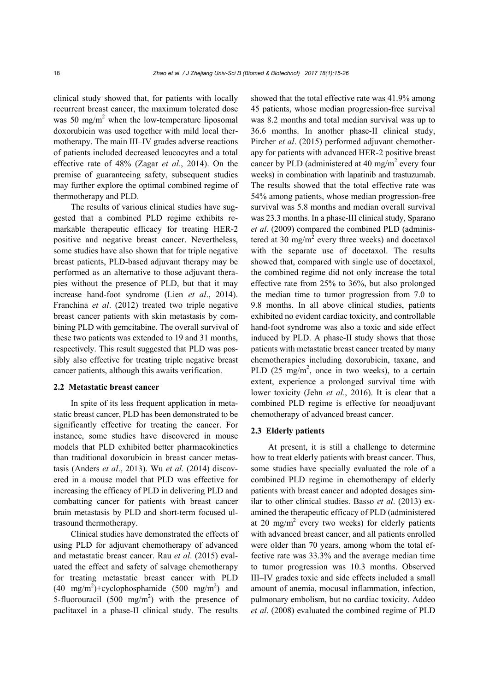clinical study showed that, for patients with locally recurrent breast cancer, the maximum tolerated dose was 50 mg/m<sup>2</sup> when the low-temperature liposomal doxorubicin was used together with mild local thermotherapy. The main III–IV grades adverse reactions of patients included decreased leucocytes and a total effective rate of 48% (Zagar *et al*., 2014). On the premise of guaranteeing safety, subsequent studies may further explore the optimal combined regime of thermotherapy and PLD.

The results of various clinical studies have suggested that a combined PLD regime exhibits remarkable therapeutic efficacy for treating HER-2 positive and negative breast cancer. Nevertheless, some studies have also shown that for triple negative breast patients, PLD-based adjuvant therapy may be performed as an alternative to those adjuvant therapies without the presence of PLD, but that it may increase hand-foot syndrome (Lien *et al*., 2014). Franchina *et al*. (2012) treated two triple negative breast cancer patients with skin metastasis by combining PLD with gemcitabine. The overall survival of these two patients was extended to 19 and 31 months, respectively. This result suggested that PLD was possibly also effective for treating triple negative breast cancer patients, although this awaits verification.

#### **2.2 Metastatic breast cancer**

In spite of its less frequent application in metastatic breast cancer, PLD has been demonstrated to be significantly effective for treating the cancer. For instance, some studies have discovered in mouse models that PLD exhibited better pharmacokinetics than traditional doxorubicin in breast cancer metastasis (Anders *et al*., 2013). Wu *et al*. (2014) discovered in a mouse model that PLD was effective for increasing the efficacy of PLD in delivering PLD and combatting cancer for patients with breast cancer brain metastasis by PLD and short-term focused ultrasound thermotherapy.

Clinical studies have demonstrated the effects of using PLD for adjuvant chemotherapy of advanced and metastatic breast cancer. Rau *et al*. (2015) evaluated the effect and safety of salvage chemotherapy for treating metastatic breast cancer with PLD  $(40 \text{ mg/m}^2)$ +cyclophosphamide  $(500 \text{ mg/m}^2)$  and 5-fluorouracil  $(500 \text{ mg/m}^2)$  with the presence of paclitaxel in a phase-II clinical study. The results

showed that the total effective rate was 41.9% among 45 patients, whose median progression-free survival was 8.2 months and total median survival was up to 36.6 months. In another phase-II clinical study, Pircher *et al*. (2015) performed adjuvant chemotherapy for patients with advanced HER-2 positive breast cancer by PLD (administered at 40 mg/m<sup>2</sup> every four weeks) in combination with lapatinib and trastuzumab. The results showed that the total effective rate was 54% among patients, whose median progression-free survival was 5.8 months and median overall survival was 23.3 months. In a phase-III clinical study, Sparano *et al*. (2009) compared the combined PLD (administered at 30 mg/m<sup>2</sup> every three weeks) and docetaxol with the separate use of docetaxol. The results showed that, compared with single use of docetaxol, the combined regime did not only increase the total effective rate from 25% to 36%, but also prolonged the median time to tumor progression from 7.0 to 9.8 months. In all above clinical studies, patients exhibited no evident cardiac toxicity, and controllable hand-foot syndrome was also a toxic and side effect induced by PLD. A phase-II study shows that those patients with metastatic breast cancer treated by many chemotherapies including doxorubicin, taxane, and PLD  $(25 \text{ mg/m}^2)$ , once in two weeks), to a certain extent, experience a prolonged survival time with lower toxicity (Jehn *et al*., 2016). It is clear that a combined PLD regime is effective for neoadjuvant chemotherapy of advanced breast cancer.

#### **2.3 Elderly patients**

At present, it is still a challenge to determine how to treat elderly patients with breast cancer. Thus, some studies have specially evaluated the role of a combined PLD regime in chemotherapy of elderly patients with breast cancer and adopted dosages similar to other clinical studies. Basso *et al*. (2013) examined the therapeutic efficacy of PLD (administered at 20 mg/m<sup>2</sup> every two weeks) for elderly patients with advanced breast cancer, and all patients enrolled were older than 70 years, among whom the total effective rate was 33.3% and the average median time to tumor progression was 10.3 months. Observed III–IV grades toxic and side effects included a small amount of anemia, mocusal inflammation, infection, pulmonary embolism, but no cardiac toxicity. Addeo *et al*. (2008) evaluated the combined regime of PLD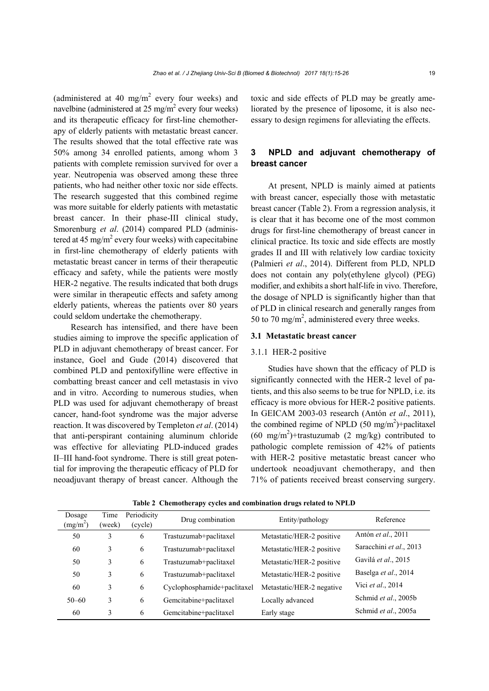(administered at 40 mg/m<sup>2</sup> every four weeks) and navelbine (administered at  $25 \text{ mg/m}^2$  every four weeks) and its therapeutic efficacy for first-line chemotherapy of elderly patients with metastatic breast cancer. The results showed that the total effective rate was 50% among 34 enrolled patients, among whom 3 patients with complete remission survived for over a year. Neutropenia was observed among these three patients, who had neither other toxic nor side effects. The research suggested that this combined regime was more suitable for elderly patients with metastatic breast cancer. In their phase-III clinical study, Smorenburg *et al*. (2014) compared PLD (administered at 45 mg/m<sup>2</sup> every four weeks) with capecitabine in first-line chemotherapy of elderly patients with metastatic breast cancer in terms of their therapeutic efficacy and safety, while the patients were mostly HER-2 negative. The results indicated that both drugs were similar in therapeutic effects and safety among elderly patients, whereas the patients over 80 years could seldom undertake the chemotherapy.

Research has intensified, and there have been studies aiming to improve the specific application of PLD in adjuvant chemotherapy of breast cancer. For instance, Goel and Gude (2014) discovered that combined PLD and pentoxifylline were effective in combatting breast cancer and cell metastasis in vivo and in vitro. According to numerous studies, when PLD was used for adjuvant chemotherapy of breast cancer, hand-foot syndrome was the major adverse reaction. It was discovered by Templeton *et al*. (2014) that anti-perspirant containing aluminum chloride was effective for alleviating PLD-induced grades II–III hand-foot syndrome. There is still great potential for improving the therapeutic efficacy of PLD for neoadjuvant therapy of breast cancer. Although the

toxic and side effects of PLD may be greatly ameliorated by the presence of liposome, it is also necessary to design regimens for alleviating the effects.

## **3 NPLD and adjuvant chemotherapy of breast cancer**

At present, NPLD is mainly aimed at patients with breast cancer, especially those with metastatic breast cancer (Table 2). From a regression analysis, it is clear that it has become one of the most common drugs for first-line chemotherapy of breast cancer in clinical practice. Its toxic and side effects are mostly grades II and III with relatively low cardiac toxicity (Palmieri *et al*., 2014). Different from PLD, NPLD does not contain any poly(ethylene glycol) (PEG) modifier, and exhibits a short half-life in vivo. Therefore, the dosage of NPLD is significantly higher than that of PLD in clinical research and generally ranges from 50 to 70 mg/m<sup>2</sup>, administered every three weeks.

### **3.1 Metastatic breast cancer**

#### 3.1.1 HER-2 positive

Studies have shown that the efficacy of PLD is significantly connected with the HER-2 level of patients, and this also seems to be true for NPLD, i.e. its efficacy is more obvious for HER-2 positive patients. In GEICAM 2003-03 research (Antón *et al*., 2011), the combined regime of NPLD  $(50 \text{ mg/m}^2)$ +paclitaxel  $(60 \text{ mg/m}^2)$ +trastuzumab  $(2 \text{ mg/kg})$  contributed to pathologic complete remission of 42% of patients with HER-2 positive metastatic breast cancer who undertook neoadjuvant chemotherapy, and then 71% of patients received breast conserving surgery.

| Dosage<br>(mg/m <sup>2</sup> ) | Time<br>(week) | Periodicity<br>(cycle) | Drug combination            | Entity/pathology          | Reference               |
|--------------------------------|----------------|------------------------|-----------------------------|---------------------------|-------------------------|
| 50                             | 3              | 6                      | Trastuzumab+paclitaxel      | Metastatic/HER-2 positive | Antón et al., 2011      |
| 60                             | 3              | 6                      | Trastuzumab+paclitaxel      | Metastatic/HER-2 positive | Saracchini et al., 2013 |
| 50                             | 3              | 6                      | Trastuzumab+paclitaxel      | Metastatic/HER-2 positive | Gavilá et al., 2015     |
| 50                             | 3              | 6                      | Trastuzumab+paclitaxel      | Metastatic/HER-2 positive | Baselga et al., 2014    |
| 60                             | 3              | 6                      | Cyclophosphamide+paclitaxel | Metastatic/HER-2 negative | Vici et al., 2014       |
| $50 - 60$                      | 3              | 6                      | Gemcitabine+paclitaxel      | Locally advanced          | Schmid et al., 2005b    |
| 60                             | 3              | 6                      | Gemcitabine+paclitaxel      | Early stage               | Schmid et al., 2005a    |

**Table 2 Chemotherapy cycles and combination drugs related to NPLD**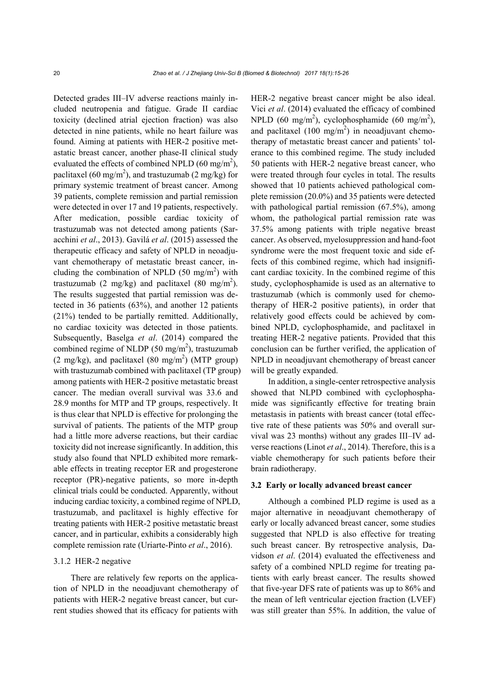Detected grades III–IV adverse reactions mainly included neutropenia and fatigue. Grade II cardiac toxicity (declined atrial ejection fraction) was also detected in nine patients, while no heart failure was found. Aiming at patients with HER-2 positive metastatic breast cancer, another phase-II clinical study evaluated the effects of combined NPLD (60 mg/m<sup>2</sup>), paclitaxel (60 mg/m<sup>2</sup>), and trastuzumab (2 mg/kg) for primary systemic treatment of breast cancer. Among 39 patients, complete remission and partial remission were detected in over 17 and 19 patients, respectively. After medication, possible cardiac toxicity of trastuzumab was not detected among patients (Saracchini *et al*., 2013). Gavilá *et al*. (2015) assessed the therapeutic efficacy and safety of NPLD in neoadjuvant chemotherapy of metastatic breast cancer, including the combination of NPLD  $(50 \text{ mg/m}^2)$  with trastuzumab (2 mg/kg) and paclitaxel (80 mg/m<sup>2</sup>). The results suggested that partial remission was detected in 36 patients (63%), and another 12 patients (21%) tended to be partially remitted. Additionally, no cardiac toxicity was detected in those patients. Subsequently, Baselga *et al*. (2014) compared the combined regime of NLDP  $(50 \text{ mg/m}^2)$ , trastuzumab  $(2 \text{ mg/kg})$ , and paclitaxel  $(80 \text{ mg/m}^2)$  (MTP group) with trastuzumab combined with paclitaxel (TP group) among patients with HER-2 positive metastatic breast cancer. The median overall survival was 33.6 and 28.9 months for MTP and TP groups, respectively. It is thus clear that NPLD is effective for prolonging the survival of patients. The patients of the MTP group had a little more adverse reactions, but their cardiac toxicity did not increase significantly. In addition, this study also found that NPLD exhibited more remarkable effects in treating receptor ER and progesterone receptor (PR)-negative patients, so more in-depth clinical trials could be conducted. Apparently, without inducing cardiac toxicity, a combined regime of NPLD, trastuzumab, and paclitaxel is highly effective for treating patients with HER-2 positive metastatic breast cancer, and in particular, exhibits a considerably high complete remission rate (Uriarte-Pinto *et al*., 2016).

## 3.1.2 HER-2 negative

There are relatively few reports on the application of NPLD in the neoadjuvant chemotherapy of patients with HER-2 negative breast cancer, but current studies showed that its efficacy for patients with

HER-2 negative breast cancer might be also ideal. Vici *et al*. (2014) evaluated the efficacy of combined NPLD (60 mg/m<sup>2</sup>), cyclophosphamide (60 mg/m<sup>2</sup>), and paclitaxel  $(100 \text{ mg/m}^2)$  in neoadjuvant chemotherapy of metastatic breast cancer and patients' tolerance to this combined regime. The study included 50 patients with HER-2 negative breast cancer, who were treated through four cycles in total. The results showed that 10 patients achieved pathological complete remission (20.0%) and 35 patients were detected with pathological partial remission (67.5%), among whom, the pathological partial remission rate was 37.5% among patients with triple negative breast cancer. As observed, myelosuppression and hand-foot syndrome were the most frequent toxic and side effects of this combined regime, which had insignificant cardiac toxicity. In the combined regime of this study, cyclophosphamide is used as an alternative to trastuzumab (which is commonly used for chemotherapy of HER-2 positive patients), in order that relatively good effects could be achieved by combined NPLD, cyclophosphamide, and paclitaxel in treating HER-2 negative patients. Provided that this conclusion can be further verified, the application of NPLD in neoadjuvant chemotherapy of breast cancer will be greatly expanded.

In addition, a single-center retrospective analysis showed that NLPD combined with cyclophosphamide was significantly effective for treating brain metastasis in patients with breast cancer (total effective rate of these patients was 50% and overall survival was 23 months) without any grades III–IV adverse reactions (Linot *et al*., 2014). Therefore, this is a viable chemotherapy for such patients before their brain radiotherapy.

#### **3.2 Early or locally advanced breast cancer**

Although a combined PLD regime is used as a major alternative in neoadjuvant chemotherapy of early or locally advanced breast cancer, some studies suggested that NPLD is also effective for treating such breast cancer. By retrospective analysis, Davidson *et al*. (2014) evaluated the effectiveness and safety of a combined NPLD regime for treating patients with early breast cancer. The results showed that five-year DFS rate of patients was up to 86% and the mean of left ventricular ejection fraction (LVEF) was still greater than 55%. In addition, the value of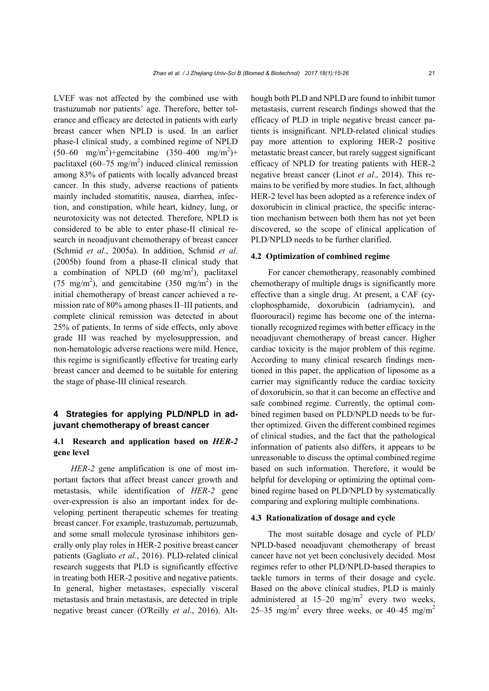LVEF was not affected by the combined use with trastuzumab nor patients' age. Therefore, better tolerance and efficacy are detected in patients with early breast cancer when NPLD is used. In an earlier phase-I clinical study, a combined regime of NPLD  $(50-60 \text{ mg/m}^2)$ +gemcitabine  $(350-400 \text{ mg/m}^2)$ + paclitaxel  $(60-75 \text{ mg/m}^2)$  induced clinical remission among 83% of patients with locally advanced breast cancer. In this study, adverse reactions of patients mainly included stomatitis, nausea, diarrhea, infection, and constipation, while heart, kidney, lung, or neurotoxicity was not detected. Therefore, NPLD is considered to be able to enter phase-II clinical research in neoadjuvant chemotherapy of breast cancer (Schmid *et al*., 2005a). In addition, Schmid *et al*. (2005b) found from a phase-II clinical study that a combination of NPLD  $(60 \text{ mg/m}^2)$ , paclitaxel (75 mg/m<sup>2</sup>), and gemcitabine (350 mg/m<sup>2</sup>) in the initial chemotherapy of breast cancer achieved a remission rate of 80% among phases II–III patients, and complete clinical remission was detected in about 25% of patients. In terms of side effects, only above grade III was reached by myelosuppression, and non-hematologic adverse reactions were mild. Hence, this regime is significantly effective for treating early breast cancer and deemed to be suitable for entering the stage of phase-III clinical research.

## **4 Strategies for applying PLD/NPLD in adjuvant chemotherapy of breast cancer**

## **4.1 Research and application based on** *HER-2*  **gene level**

*HER-2* gene amplification is one of most important factors that affect breast cancer growth and metastasis, while identification of *HER-2* gene over-expression is also an important index for developing pertinent therapeutic schemes for treating breast cancer. For example, trastuzumab, pertuzumab, and some small molecule tyrosinase inhibitors generally only play roles in HER-2 positive breast cancer patients (Gagliato *et al*., 2016). PLD-related clinical research suggests that PLD is significantly effective in treating both HER-2 positive and negative patients. In general, higher metastases, especially visceral metastasis and brain metastasis, are detected in triple negative breast cancer (O'Reilly *et al*., 2016). Although both PLD and NPLD are found to inhibit tumor metastasis, current research findings showed that the efficacy of PLD in triple negative breast cancer patients is insignificant. NPLD-related clinical studies pay more attention to exploring HER-2 positive metastatic breast cancer, but rarely suggest significant efficacy of NPLD for treating patients with HER-2 negative breast cancer (Linot *et al*., 2014). This remains to be verified by more studies. In fact, although HER-2 level has been adopted as a reference index of doxorubicin in clinical practice, the specific interaction mechanism between both them has not yet been discovered, so the scope of clinical application of PLD/NPLD needs to be further clarified.

## **4.2 Optimization of combined regime**

For cancer chemotherapy, reasonably combined chemotherapy of multiple drugs is significantly more effective than a single drug. At present, a CAF (cyclophosphamide, doxorubicin (adriamycin), and fluorouracil) regime has become one of the internationally recognized regimes with better efficacy in the neoadjuvant chemotherapy of breast cancer. Higher cardiac toxicity is the major problem of this regime. According to many clinical research findings mentioned in this paper, the application of liposome as a carrier may significantly reduce the cardiac toxicity of doxorubicin, so that it can become an effective and safe combined regime. Currently, the optimal combined regimen based on PLD/NPLD needs to be further optimized. Given the different combined regimes of clinical studies, and the fact that the pathological information of patients also differs, it appears to be unreasonable to discuss the optimal combined regime based on such information. Therefore, it would be helpful for developing or optimizing the optimal combined regime based on PLD/NPLD by systematically comparing and exploring multiple combinations.

#### **4.3 Rationalization of dosage and cycle**

The most suitable dosage and cycle of PLD/ NPLD-based neoadjuvant chemotherapy of breast cancer have not yet been conclusively decided. Most regimes refer to other PLD/NPLD-based therapies to tackle tumors in terms of their dosage and cycle. Based on the above clinical studies, PLD is mainly administered at  $15-20$  mg/m<sup>2</sup> every two weeks, 25–35 mg/m<sup>2</sup> every three weeks, or 40–45 mg/m<sup>2</sup>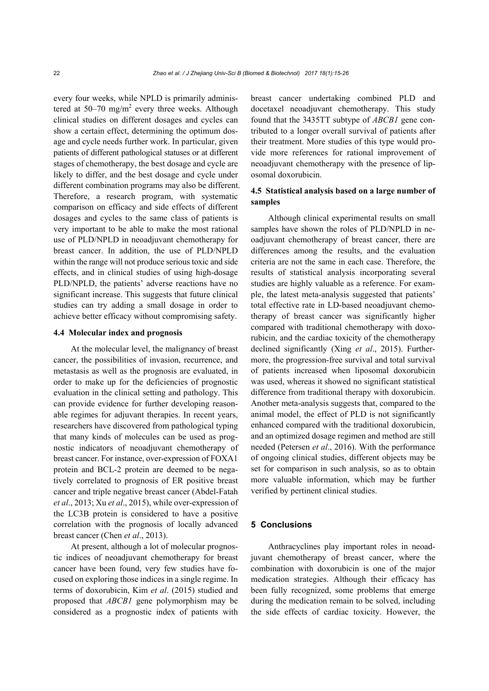every four weeks, while NPLD is primarily administered at 50–70 mg/m<sup>2</sup> every three weeks. Although clinical studies on different dosages and cycles can show a certain effect, determining the optimum dosage and cycle needs further work. In particular, given patients of different pathological statuses or at different stages of chemotherapy, the best dosage and cycle are likely to differ, and the best dosage and cycle under different combination programs may also be different. Therefore, a research program, with systematic comparison on efficacy and side effects of different dosages and cycles to the same class of patients is very important to be able to make the most rational use of PLD/NPLD in neoadjuvant chemotherapy for breast cancer. In addition, the use of PLD/NPLD within the range will not produce serious toxic and side effects, and in clinical studies of using high-dosage PLD/NPLD, the patients' adverse reactions have no significant increase. This suggests that future clinical studies can try adding a small dosage in order to achieve better efficacy without compromising safety.

#### **4.4 Molecular index and prognosis**

At the molecular level, the malignancy of breast cancer, the possibilities of invasion, recurrence, and metastasis as well as the prognosis are evaluated, in order to make up for the deficiencies of prognostic evaluation in the clinical setting and pathology. This can provide evidence for further developing reasonable regimes for adjuvant therapies. In recent years, researchers have discovered from pathological typing that many kinds of molecules can be used as prognostic indicators of neoadjuvant chemotherapy of breast cancer. For instance, over-expression of FOXA1 protein and BCL-2 protein are deemed to be negatively correlated to prognosis of ER positive breast cancer and triple negative breast cancer (Abdel-Fatah *et al*., 2013; Xu *et al*., 2015), while over-expression of the LC3B protein is considered to have a positive correlation with the prognosis of locally advanced breast cancer (Chen *et al*., 2013).

At present, although a lot of molecular prognostic indices of neoadjuvant chemotherapy for breast cancer have been found, very few studies have focused on exploring those indices in a single regime. In terms of doxorubicin, Kim *et al*. (2015) studied and proposed that *ABCB1* gene polymorphism may be considered as a prognostic index of patients with breast cancer undertaking combined PLD and docetaxel neoadjuvant chemotherapy. This study found that the 3435TT subtype of *ABCB1* gene contributed to a longer overall survival of patients after their treatment. More studies of this type would provide more references for rational improvement of neoadjuvant chemotherapy with the presence of liposomal doxorubicin.

## **4.5 Statistical analysis based on a large number of samples**

Although clinical experimental results on small samples have shown the roles of PLD/NPLD in neoadjuvant chemotherapy of breast cancer, there are differences among the results, and the evaluation criteria are not the same in each case. Therefore, the results of statistical analysis incorporating several studies are highly valuable as a reference. For example, the latest meta-analysis suggested that patients' total effective rate in LD-based neoadjuvant chemotherapy of breast cancer was significantly higher compared with traditional chemotherapy with doxorubicin, and the cardiac toxicity of the chemotherapy declined significantly (Xing *et al*., 2015). Furthermore, the progression-free survival and total survival of patients increased when liposomal doxorubicin was used, whereas it showed no significant statistical difference from traditional therapy with doxorubicin. Another meta-analysis suggests that, compared to the animal model, the effect of PLD is not significantly enhanced compared with the traditional doxorubicin, and an optimized dosage regimen and method are still needed (Petersen *et al*., 2016). With the performance of ongoing clinical studies, different objects may be set for comparison in such analysis, so as to obtain more valuable information, which may be further verified by pertinent clinical studies.

## **5 Conclusions**

Anthracyclines play important roles in neoadjuvant chemotherapy of breast cancer, where the combination with doxorubicin is one of the major medication strategies. Although their efficacy has been fully recognized, some problems that emerge during the medication remain to be solved, including the side effects of cardiac toxicity. However, the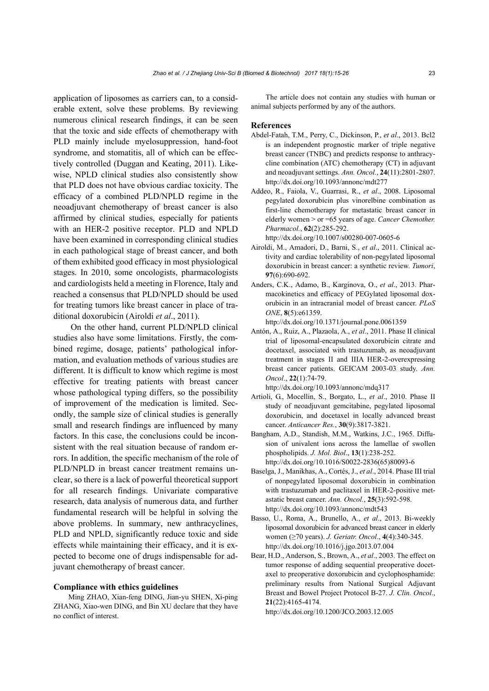application of liposomes as carriers can, to a considerable extent, solve these problems. By reviewing numerous clinical research findings, it can be seen that the toxic and side effects of chemotherapy with PLD mainly include myelosuppression, hand-foot syndrome, and stomatitis, all of which can be effectively controlled (Duggan and Keating, 2011). Likewise, NPLD clinical studies also consistently show that PLD does not have obvious cardiac toxicity. The efficacy of a combined PLD/NPLD regime in the neoadjuvant chemotherapy of breast cancer is also affirmed by clinical studies, especially for patients with an HER-2 positive receptor. PLD and NPLD have been examined in corresponding clinical studies in each pathological stage of breast cancer, and both of them exhibited good efficacy in most physiological stages. In 2010, some oncologists, pharmacologists and cardiologists held a meeting in Florence, Italy and reached a consensus that PLD/NPLD should be used for treating tumors like breast cancer in place of traditional doxorubicin (Airoldi *et al*., 2011).

On the other hand, current PLD/NPLD clinical studies also have some limitations. Firstly, the combined regime, dosage, patients' pathological information, and evaluation methods of various studies are different. It is difficult to know which regime is most effective for treating patients with breast cancer whose pathological typing differs, so the possibility of improvement of the medication is limited. Secondly, the sample size of clinical studies is generally small and research findings are influenced by many factors. In this case, the conclusions could be inconsistent with the real situation because of random errors. In addition, the specific mechanism of the role of PLD/NPLD in breast cancer treatment remains unclear, so there is a lack of powerful theoretical support for all research findings. Univariate comparative research, data analysis of numerous data, and further fundamental research will be helpful in solving the above problems. In summary, new anthracyclines, PLD and NPLD, significantly reduce toxic and side effects while maintaining their efficacy, and it is expected to become one of drugs indispensable for adjuvant chemotherapy of breast cancer.

## **Compliance with ethics guidelines**

Ming ZHAO, Xian-feng DING, Jian-yu SHEN, Xi-ping ZHANG, Xiao-wen DING, and Bin XU declare that they have no conflict of interest.

The article does not contain any studies with human or animal subjects performed by any of the authors.

#### **References**

- Abdel-Fatah, T.M., Perry, C., Dickinson, P., *et al*., 2013. Bcl2 is an independent prognostic marker of triple negative breast cancer (TNBC) and predicts response to anthracycline combination (ATC) chemotherapy (CT) in adjuvant and neoadjuvant settings. *Ann. Oncol.*, **24**(11):2801-2807. http://dx.doi.org/10.1093/annonc/mdt277
- Addeo, R., Faiola, V., Guarrasi, R., *et al*., 2008. Liposomal pegylated doxorubicin plus vinorelbine combination as first-line chemotherapy for metastatic breast cancer in elderly women > or =65 years of age. *Cancer Chemother. Pharmacol.*, **62**(2):285-292.

http://dx.doi.org/10.1007/s00280-007-0605-6

- Airoldi, M., Amadori, D., Barni, S., *et al*., 2011. Clinical activity and cardiac tolerability of non-pegylated liposomal doxorubicin in breast cancer: a synthetic review. *Tumori*, **97**(6):690-692.
- Anders, C.K., Adamo, B., Karginova, O., *et al*., 2013. Pharmacokinetics and efficacy of PEGylated liposomal doxorubicin in an intracranial model of breast cancer. *PLoS ONE*, **8**(5):e61359. http://dx.doi.org/10.1371/journal.pone.0061359
- Antón, A., Ruiz, A., Plazaola, A., *et al*., 2011. Phase II clinical trial of liposomal-encapsulated doxorubicin citrate and docetaxel, associated with trastuzumab, as neoadjuvant treatment in stages II and IIIA HER-2-overexpressing breast cancer patients. GEICAM 2003-03 study. *Ann. Oncol*., **22**(1):74-79. http://dx.doi.org/10.1093/annonc/mdq317
- Artioli, G., Mocellin, S., Borgato, L., *et al*., 2010. Phase II study of neoadjuvant gemcitabine, pegylated liposomal doxorubicin, and docetaxel in locally advanced breast cancer. *Anticancer Res.*, **30**(9):3817-3821.
- Bangham, A.D., Standish, M.M., Watkins, J.C., 1965. Diffusion of univalent ions across the lamellae of swollen phospholipids. *J. Mol. Biol*., **13**(1):238-252. http://dx.doi.org/10.1016/S0022-2836(65)80093-6
- Baselga, J., Manikhas, A., Cortés, J., *et al*., 2014. Phase III trial of nonpegylated liposomal doxorubicin in combination with trastuzumab and paclitaxel in HER-2-positive metastatic breast cancer. *Ann. Oncol.*, **25**(3):592-598. http://dx.doi.org/10.1093/annonc/mdt543
- Basso, U., Roma, A., Brunello, A., *et al*., 2013. Bi-weekly liposomal doxorubicin for advanced breast cancer in elderly women (≥70 years). *J. Geriatr. Oncol*., **4**(4):340-345. http://dx.doi.org/10.1016/j.jgo.2013.07.004
- Bear, H.D., Anderson, S., Brown, A., *et al*., 2003. The effect on tumor response of adding sequential preoperative docetaxel to preoperative doxorubicin and cyclophosphamide: preliminary results from National Surgical Adjuvant Breast and Bowel Project Protocol B-27. *J. Clin. Oncol*., **21**(22):4165-4174.

http://dx.doi.org/10.1200/JCO.2003.12.005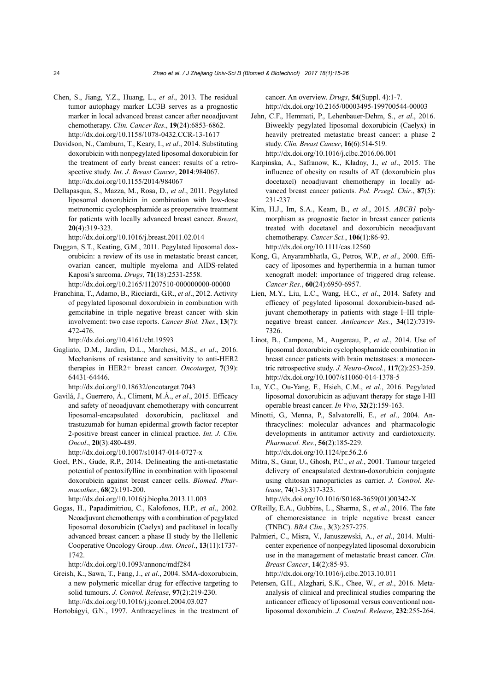- Chen, S., Jiang, Y.Z., Huang, L., *et al*., 2013. The residual tumor autophagy marker LC3B serves as a prognostic marker in local advanced breast cancer after neoadjuvant chemotherapy. *Clin. Cancer Res*., **19**(24):6853-6862. http://dx.doi.org/10.1158/1078-0432.CCR-13-1617
- Davidson, N., Camburn, T., Keary, I., *et al*., 2014. Substituting doxorubicin with nonpegylated liposomal doxorubicin for the treatment of early breast cancer: results of a retrospective study. *Int. J. Breast Cancer*, **2014**:984067. http://dx.doi.org/10.1155/2014/984067
- Dellapasqua, S., Mazza, M., Rosa, D., *et al*., 2011. Pegylated liposomal doxorubicin in combination with low-dose metronomic cyclophosphamide as preoperative treatment for patients with locally advanced breast cancer. *Breast*, **20**(4):319-323.

http://dx.doi.org/10.1016/j.breast.2011.02.014

- Duggan, S.T., Keating, G.M., 2011. Pegylated liposomal doxorubicin: a review of its use in metastatic breast cancer, ovarian cancer, multiple myeloma and AIDS-related Kaposi's sarcoma. *Drugs*, **71**(18):2531-2558. http://dx.doi.org/10.2165/11207510-000000000-00000
- Franchina, T., Adamo, B., Ricciardi, G.R., *et al*., 2012. Activity of pegylated liposomal doxorubicin in combination with gemcitabine in triple negative breast cancer with skin involvement: two case reports. *Cancer Biol. Ther.*, **13**(7): 472-476.

http://dx.doi.org/10.4161/cbt.19593

Gagliato, D.M., Jardim, D.L., Marchesi, M.S., *et al*., 2016. Mechanisms of resistance and sensitivity to anti-HER2 therapies in HER2+ breast cancer. *Oncotarget*, **7**(39): 64431-64446.

http://dx.doi.org/10.18632/oncotarget.7043

Gavilá, J., Guerrero, Á., Climent, M.Á., *et al*., 2015. Efficacy and safety of neoadjuvant chemotherapy with concurrent liposomal-encapsulated doxorubicin, paclitaxel and trastuzumab for human epidermal growth factor receptor 2-positive breast cancer in clinical practice. *Int. J. Clin. Oncol*., **20**(3):480-489.

http://dx.doi.org/10.1007/s10147-014-0727-x

Goel, P.N., Gude, R.P., 2014. Delineating the anti-metastatic potential of pentoxifylline in combination with liposomal doxorubicin against breast cancer cells. *Biomed. Pharmacother.*, **68**(2):191-200.

http://dx.doi.org/10.1016/j.biopha.2013.11.003

Gogas, H., Papadimitriou, C., Kalofonos, H.P., *et al*., 2002. Neoadjuvant chemotherapy with a combination of pegylated liposomal doxorubicin (Caelyx) and paclitaxel in locally advanced breast cancer: a phase II study by the Hellenic Cooperative Oncology Group. *Ann. Oncol*., **13**(11):1737- 1742.

http://dx.doi.org/10.1093/annonc/mdf284

Greish, K., Sawa, T., Fang, J., *et al*., 2004. SMA-doxorubicin, a new polymeric micellar drug for effective targeting to solid tumours. *J. Control. Release*, **97**(2):219-230. http://dx.doi.org/10.1016/j.jconrel.2004.03.027

Hortobágyi, G.N., 1997. Anthracyclines in the treatment of

cancer. An overview. *Drugs*, **54**(Suppl. 4):1-7. http://dx.doi.org/10.2165/00003495-199700544-00003

- Jehn, C.F., Hemmati, P., Lehenbauer-Dehm, S., *et al*., 2016. Biweekly pegylated liposomal doxorubicin (Caelyx) in heavily pretreated metastatic breast cancer: a phase 2 study. *Clin. Breast Cancer*, **16**(6):514-519. http://dx.doi.org/10.1016/j.clbc.2016.06.001
- Karpinska, A., Safranow, K., Kładny, J., *et al*., 2015. The influence of obesity on results of AT (doxorubicin plus docetaxel) neoadjuvant chemotherapy in locally advanced breast cancer patients. *Pol. Przegl. Chir*., **87**(5): 231-237.
- Kim, H.J., Im, S.A., Keam, B., *et al*., 2015. *ABCB1* polymorphism as prognostic factor in breast cancer patients treated with docetaxel and doxorubicin neoadjuvant chemotherapy. *Cancer Sci.*, **106**(1):86-93. http://dx.doi.org/10.1111/cas.12560
- Kong, G., Anyarambhatla, G., Petros, W.P., *et al*., 2000. Efficacy of liposomes and hyperthermia in a human tumor xenograft model: importance of triggered drug release. *Cancer Res.*, **60**(24):6950-6957.
- Lien, M.Y., Liu, L.C., Wang, H.C., *et al*., 2014. Safety and efficacy of pegylated liposomal doxorubicin-based adjuvant chemotherapy in patients with stage I–III triplenegative breast cancer. *Anticancer Res.*, **34**(12):7319- 7326.
- Linot, B., Campone, M., Augereau, P., *et al*., 2014. Use of liposomal doxorubicin cyclophosphamide combination in breast cancer patients with brain metastases: a monocentric retrospective study. *J. Neuro-Oncol.*, **117**(2):253-259. http://dx.doi.org/10.1007/s11060-014-1378-5
- Lu, Y.C., Ou-Yang, F., Hsieh, C.M., *et al*., 2016. Pegylated liposomal doxorubicin as adjuvant therapy for stage I-III operable breast cancer. *In Vivo*, **32**(2):159-163.
- Minotti, G., Menna, P., Salvatorelli, E., *et al*., 2004. Anthracyclines: molecular advances and pharmacologic developments in antitumor activity and cardiotoxicity. *Pharmacol. Rev.*, **56**(2):185-229. http://dx.doi.org/10.1124/pr.56.2.6
- Mitra, S., Gaur, U., Ghosh, P.C., *et al*., 2001. Tumour targeted delivery of encapsulated dextran-doxorubicin conjugate using chitosan nanoparticles as carrier. *J. Control. Release*, **74**(1-3):317-323.

http://dx.doi.org/10.1016/S0168-3659(01)00342-X

- O'Reilly, E.A., Gubbins, L., Sharma, S., *et al*., 2016. The fate of chemoresistance in triple negative breast cancer (TNBC). *BBA Clin*., **3**(3):257-275.
- Palmieri, C., Misra, V., Januszewski, A., *et al*., 2014. Multicenter experience of nonpegylated liposomal doxorubicin use in the management of metastatic breast cancer. *Clin. Breast Cancer*, **14**(2):85-93.

http://dx.doi.org/10.1016/j.clbc.2013.10.011

Petersen, G.H., Alzghari, S.K., Chee, W., *et al*., 2016. Metaanalysis of clinical and preclinical studies comparing the anticancer efficacy of liposomal versus conventional nonliposomal doxorubicin. *J. Control. Release*, **232**:255-264.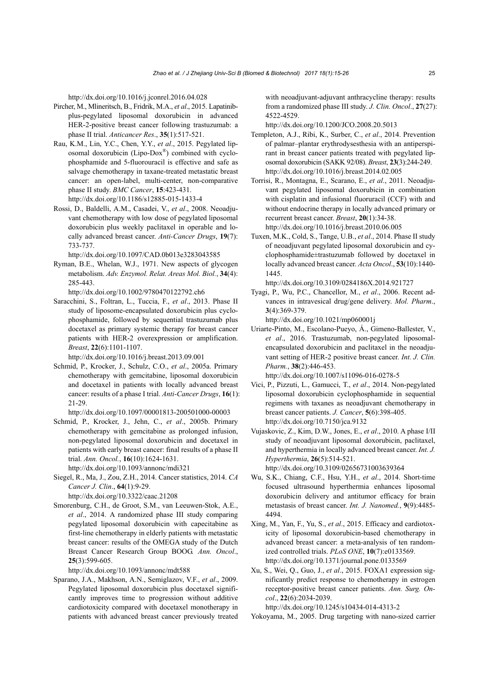http://dx.doi.org/10.1016/j.jconrel.2016.04.028

- Pircher, M., Mlineritsch, B., Fridrik, M.A., *et al*., 2015. Lapatinibplus-pegylated liposomal doxorubicin in advanced HER-2-positive breast cancer following trastuzumab: a phase II trial. *Anticancer Res*., **35**(1):517-521.
- Rau, K.M., Lin, Y.C., Chen, Y.Y., *et al*., 2015. Pegylated liposomal doxorubicin (Lipo-Dox®) combined with cyclophosphamide and 5-fluorouracil is effective and safe as salvage chemotherapy in taxane-treated metastatic breast cancer: an open-label, multi-center, non-comparative phase II study. *BMC Cancer*, **15**:423-431. http://dx.doi.org/10.1186/s12885-015-1433-4
- Rossi, D., Baldelli, A.M., Casadei, V., *et al*., 2008. Neoadjuvant chemotherapy with low dose of pegylated liposomal doxorubicin plus weekly paclitaxel in operable and locally advanced breast cancer. *Anti-Cancer Drugs*, **19**(7): 733-737.

http://dx.doi.org/10.1097/CAD.0b013e3283043585

Ryman, B.E., Whelan, W.J., 1971. New aspects of glycogen metabolism. *Adv. Enzymol. Relat. Areas Mol. Biol.*, **34**(4): 285-443.

http://dx.doi.org/10.1002/9780470122792.ch6

Saracchini, S., Foltran, L., Tuccia, F., *et al*., 2013. Phase II study of liposome-encapsulated doxorubicin plus cyclophosphamide, followed by sequential trastuzumab plus docetaxel as primary systemic therapy for breast cancer patients with HER-2 overexpression or amplification. *Breast*, **22**(6):1101-1107.

http://dx.doi.org/10.1016/j.breast.2013.09.001

Schmid, P., Krocker, J., Schulz, C.O., *et al*., 2005a. Primary chemotherapy with gemcitabine, liposomal doxorubicin and docetaxel in patients with locally advanced breast cancer: results of a phase I trial. *Anti-Cancer Drugs*, **16**(1): 21-29.

http://dx.doi.org/10.1097/00001813-200501000-00003

Schmid, P., Krocker, J., Jehn, C., *et al*., 2005b. Primary chemotherapy with gemcitabine as prolonged infusion, non-pegylated liposomal doxorubicin and docetaxel in patients with early breast cancer: final results of a phase II trial. *Ann. Oncol.*, **16**(10):1624-1631.

http://dx.doi.org/10.1093/annonc/mdi321

Siegel, R., Ma, J., Zou, Z.H., 2014. Cancer statistics, 2014. *CA Cancer J. Clin*., **64**(1):9-29.

http://dx.doi.org/10.3322/caac.21208

Smorenburg, C.H., de Groot, S.M., van Leeuwen-Stok, A.E., *et al*., 2014. A randomized phase III study comparing pegylated liposomal doxorubicin with capecitabine as first-line chemotherapy in elderly patients with metastatic breast cancer: results of the OMEGA study of the Dutch Breast Cancer Research Group BOOG. *Ann. Oncol*., **25**(3):599-605.

http://dx.doi.org/10.1093/annonc/mdt588

Sparano, J.A., Makhson, A.N., Semiglazov, V.F., *et al*., 2009. Pegylated liposomal doxorubicin plus docetaxel significantly improves time to progression without additive cardiotoxicity compared with docetaxel monotherapy in patients with advanced breast cancer previously treated with neoadjuvant-adjuvant anthracycline therapy: results from a randomized phase III study. *J. Clin. Oncol*., **27**(27): 4522-4529.

http://dx.doi.org/10.1200/JCO.2008.20.5013

- Templeton, A.J., Ribi, K., Surber, C., *et al*., 2014. Prevention of palmar–plantar erythrodysesthesia with an antiperspirant in breast cancer patients treated with pegylated liposomal doxorubicin (SAKK 92/08). *Breast*, **23**(3):244-249. http://dx.doi.org/10.1016/j.breast.2014.02.005
- Torrisi, R., Montagna, E., Scarano, E., *et al*., 2011. Neoadjuvant pegylated liposomal doxorubicin in combination with cisplatin and infusional fluoruracil (CCF) with and without endocrine therapy in locally advanced primary or recurrent breast cancer. *Breast*, **20**(1):34-38. http://dx.doi.org/10.1016/j.breast.2010.06.005
- Tuxen, M.K., Cold, S., Tange, U.B., *et al*., 2014. Phase II study of neoadjuvant pegylated liposomal doxorubicin and cyclophosphamide±trastuzumab followed by docetaxel in locally advanced breast cancer. *Acta Oncol*., **53**(10):1440- 1445.

http://dx.doi.org/10.3109/0284186X.2014.921727

Tyagi, P., Wu, P.C., Chancellor, M., *et al*., 2006. Recent advances in intravesical drug/gene delivery. *Mol. Pharm*., **3**(4):369-379.

http://dx.doi.org/10.1021/mp060001j

- Uriarte-Pinto, M., Escolano-Pueyo, Á., Gimeno-Ballester, V., *et al*., 2016. Trastuzumab, non-pegylated liposomalencapsulated doxorubicin and paclitaxel in the neoadjuvant setting of HER-2 positive breast cancer. *Int. J. Clin. Pharm.*, **38**(2):446-453. http://dx.doi.org/10.1007/s11096-016-0278-5
- Vici, P., Pizzuti, L., Gamucci, T., *et al*., 2014. Non-pegylated liposomal doxorubicin cyclophosphamide in sequential regimens with taxanes as neoadjuvant chemotherapy in breast cancer patients. *J. Cancer*, **5**(6):398-405. http://dx.doi.org/10.7150/jca.9132
- Vujaskovic, Z., Kim, D.W., Jones, E., *et al*., 2010. A phase I/II study of neoadjuvant liposomal doxorubicin, paclitaxel, and hyperthermia in locally advanced breast cancer. *Int. J. Hyperthermia*, **26**(5):514-521. http://dx.doi.org/10.3109/02656731003639364
- Wu, S.K., Chiang, C.F., Hsu, Y.H., *et al*., 2014. Short-time focused ultrasound hyperthermia enhances liposomal doxorubicin delivery and antitumor efficacy for brain metastasis of breast cancer. *Int. J. Nanomed.*, **9**(9):4485- 4494.
- Xing, M., Yan, F., Yu, S., *et al*., 2015. Efficacy and cardiotoxicity of liposomal doxorubicin-based chemotherapy in advanced breast cancer: a meta-analysis of ten randomized controlled trials. *PLoS ONE*, **10**(7):e0133569. http://dx.doi.org/10.1371/journal.pone.0133569
- Xu, S., Wei, Q., Guo, J., *et al*., 2015. FOXA1 expression significantly predict response to chemotherapy in estrogen receptor-positive breast cancer patients. *Ann. Surg. Oncol*., **22**(6):2034-2039.

http://dx.doi.org/10.1245/s10434-014-4313-2

Yokoyama, M., 2005. Drug targeting with nano-sized carrier